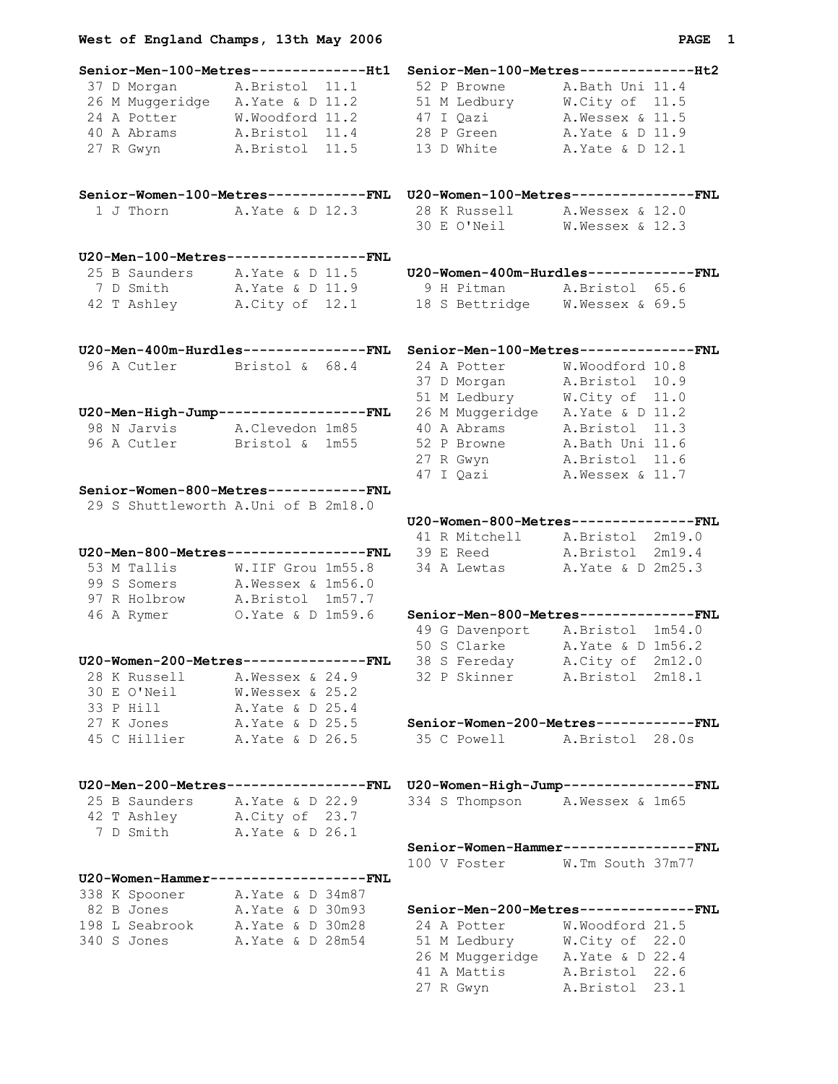| <b>PAG</b> |  |
|------------|--|
|------------|--|

| Senior-Men-100-Metres--------------Ht1                                                                                                                                                                                               | Senior-Men-100-Metres---------------Ht2                               |
|--------------------------------------------------------------------------------------------------------------------------------------------------------------------------------------------------------------------------------------|-----------------------------------------------------------------------|
| 37 D Morgan A.Bristol 11.1 52 P Browne A.Bath Uni 11.4<br>26 M Muggeridge A.Yate & D 11.2 51 M Ledbury W.City of 11.5<br>24 A Potter W.Woodford 11.2 47 I Qazi A.Wessex & 11.5<br>40 A Abrams A.Bristol 11.4 28 P Green A.Yate & D 1 |                                                                       |
|                                                                                                                                                                                                                                      |                                                                       |
|                                                                                                                                                                                                                                      |                                                                       |
|                                                                                                                                                                                                                                      |                                                                       |
| 27 R Gwyn A.Bristol 11.5 13 D White A.Yate & D 12.1                                                                                                                                                                                  |                                                                       |
|                                                                                                                                                                                                                                      |                                                                       |
| Senior-Women-100-Metres-----------FNL U20-Women-100-Metres--------------FNL                                                                                                                                                          |                                                                       |
| 1 J Thorn A. Yate & D 12.3 28 K Russell A. Wessex & 12.0                                                                                                                                                                             |                                                                       |
|                                                                                                                                                                                                                                      | 30 E O'Neil W. Wessex & 12.3                                          |
|                                                                                                                                                                                                                                      |                                                                       |
| U20-Men-100-Metres----------------FNL                                                                                                                                                                                                |                                                                       |
|                                                                                                                                                                                                                                      | 25 B Saunders A. Yate & D 11.5 U20-Women-400m-Hurdles-------------FNL |
| 7 D Smith A. Yate & D 11.9 9 H Pitman A. Bristol 65.6                                                                                                                                                                                |                                                                       |
| 42 T Ashley A.City of 12.1 18 S Bettridge W. Wessex & 69.5                                                                                                                                                                           |                                                                       |
| U20-Men-400m-Hurdles--------------FNL Senior-Men-100-Metres-------------FNL                                                                                                                                                          |                                                                       |
|                                                                                                                                                                                                                                      |                                                                       |
|                                                                                                                                                                                                                                      |                                                                       |
|                                                                                                                                                                                                                                      |                                                                       |
|                                                                                                                                                                                                                                      |                                                                       |
| 98 N Jarvis A.Clevedon 1m85 40 A Abrams A.Bristol 11.3                                                                                                                                                                               |                                                                       |
| 96 A Cutler Bristol & 1m55 52 P Browne A.Bath Uni 11.6                                                                                                                                                                               |                                                                       |
|                                                                                                                                                                                                                                      | 27 R Gwyn A. Bristol 11.6                                             |
|                                                                                                                                                                                                                                      | 47 I Qazi A. Wessex & 11.7                                            |
| Senior-Women-800-Metres------------FNL                                                                                                                                                                                               |                                                                       |
| 29 S Shuttleworth A.Uni of B 2m18.0                                                                                                                                                                                                  |                                                                       |
|                                                                                                                                                                                                                                      | U20-Women-800-Metres--------------FNL                                 |
|                                                                                                                                                                                                                                      | 41 R Mitchell A. Bristol 2m19.0                                       |
| U20-Men-800-Metres----------------FNL                                                                                                                                                                                                | 39 E Reed A.Bristol 2m19.4                                            |
|                                                                                                                                                                                                                                      | 34 A Lewtas A. Yate & D 2m25.3                                        |
| 53 M Tallis W.IIF Grou 1m55.8<br>99 S Somers A. Wessex & 1m56.0                                                                                                                                                                      |                                                                       |
|                                                                                                                                                                                                                                      |                                                                       |
| 97 R Holbrow A. Bristol 1m57.7                                                                                                                                                                                                       |                                                                       |
| 46 A Rymer 0. Yate & D 1m59.6                                                                                                                                                                                                        | Senior-Men-800-Metres--------------FNL                                |
|                                                                                                                                                                                                                                      | 49 G Davenport A. Bristol 1m54.0                                      |
|                                                                                                                                                                                                                                      | 50 S Clarke A. Yate & D 1m56.2                                        |
| <b>U20-Women-200-Metres---------------FNL</b> 38 S Fereday A.City of 2m12.0                                                                                                                                                          |                                                                       |
| 28 K Russell A. Wessex & 24.9 32 P Skinner A. Bristol 2m18.1                                                                                                                                                                         |                                                                       |
| 30 E O'Neil<br>W.Wessex & 25.2                                                                                                                                                                                                       |                                                                       |
| 33 P Hill A. Yate & D 25.4                                                                                                                                                                                                           |                                                                       |
|                                                                                                                                                                                                                                      | 27 K Jones A. Yate & D 25.5 Senior-Women-200-Metres------------FNL    |
| 45 C Hillier A. Yate & D 26.5 35 C Powell A. Bristol 28.0s                                                                                                                                                                           |                                                                       |
| U20-Men-200-Metres-----------------FNL U20-Women-High-Jump---------------FNL                                                                                                                                                         |                                                                       |
|                                                                                                                                                                                                                                      |                                                                       |
| 25 B Saunders A. Yate & D 22.9                                                                                                                                                                                                       | 334 S Thompson A. Wessex & 1m65                                       |
| 42 T Ashley<br>12 T Ashley A.City of 23.7<br>7 D Smith A.Yate & D 26.1                                                                                                                                                               |                                                                       |
|                                                                                                                                                                                                                                      |                                                                       |
|                                                                                                                                                                                                                                      | Senior-Women-Hammer---------------FNL                                 |
|                                                                                                                                                                                                                                      | 100 V Foster W.Tm South 37m77                                         |
| U20-Women-Hammer------------------FNL                                                                                                                                                                                                |                                                                       |
| 338 K Spooner A. Yate & D 34m87                                                                                                                                                                                                      |                                                                       |
| 82 B Jones A. Yate & D 30m93                                                                                                                                                                                                         | Senior-Men-200-Metres--------------FNL                                |
| 198 L Seabrook A. Yate & D 30m28                                                                                                                                                                                                     | 24 A Potter W. Woodford 21.5                                          |
| 340 S Jones<br>A. Yate & D 28m54                                                                                                                                                                                                     | 51 M Ledbury M.City of 22.0                                           |
|                                                                                                                                                                                                                                      | 26 M Muggeridge A. Yate & D 22.4                                      |
|                                                                                                                                                                                                                                      | 41 A Mattis A. Bristol 22.6                                           |

27 R Gwyn A.Bristol 23.1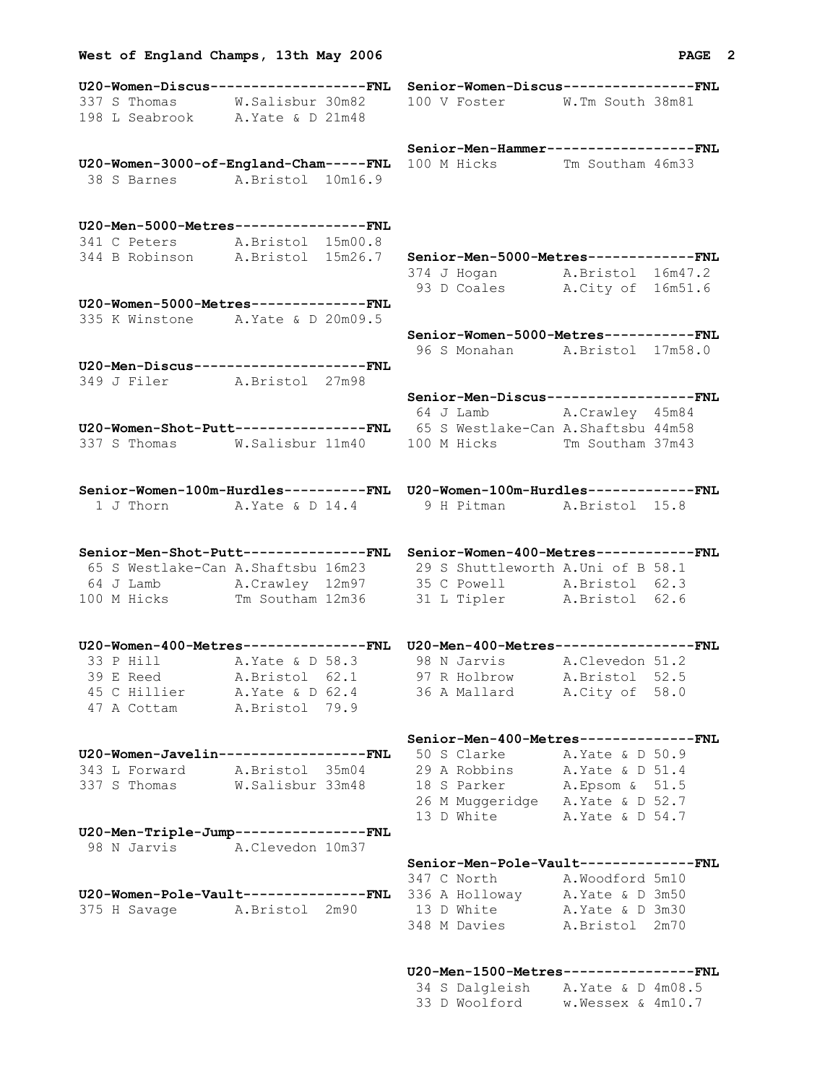| U20-Women-Discus------------------FNL Senior-Women-Discus--------------FNL<br>337 S Thomas W.Salisbur 30m82                                                     |  | 100 V Foster W.Tm South 38m81                                             |  |
|-----------------------------------------------------------------------------------------------------------------------------------------------------------------|--|---------------------------------------------------------------------------|--|
| 198 L Seabrook A. Yate & D 21m48                                                                                                                                |  |                                                                           |  |
|                                                                                                                                                                 |  |                                                                           |  |
|                                                                                                                                                                 |  | Senior-Men-Hammer-----------------FNL                                     |  |
| U20-Women-3000-of-England-Cham-----FNL 100 M Hicks Tm Southam 46m33                                                                                             |  |                                                                           |  |
| 38 S Barnes A. Bristol 10m16.9                                                                                                                                  |  |                                                                           |  |
|                                                                                                                                                                 |  |                                                                           |  |
|                                                                                                                                                                 |  |                                                                           |  |
| U20-Men-5000-Metres---------------FNL                                                                                                                           |  |                                                                           |  |
| 341 C Peters A. Bristol 15m00.8                                                                                                                                 |  |                                                                           |  |
| 344 B Robinson A.Bristol 15m26.7 Senior-Men-5000-Metres-------------FNL                                                                                         |  |                                                                           |  |
|                                                                                                                                                                 |  | 374 J Hogan A. Bristol 16m47.2                                            |  |
|                                                                                                                                                                 |  | 93 D Coales A.City of 16m51.6                                             |  |
| U20-Women-5000-Metres-------------FNL                                                                                                                           |  |                                                                           |  |
| 335 K Winstone A. Yate & D 20m09.5                                                                                                                              |  |                                                                           |  |
|                                                                                                                                                                 |  | Senior-Women-5000-Metres-----------FNL<br>96 S Monahan A. Bristol 17m58.0 |  |
| U20-Men-Discus--------------------FNL                                                                                                                           |  |                                                                           |  |
| 349 J Filer A. Bristol 27m98                                                                                                                                    |  |                                                                           |  |
|                                                                                                                                                                 |  | Senior-Men-Discus-----------------FNL                                     |  |
|                                                                                                                                                                 |  | 64 J Lamb A.Crawley 45m84                                                 |  |
| U20-Women-Shot-Putt----------------FNL 65 S Westlake-Can A.Shaftsbu 44m58                                                                                       |  |                                                                           |  |
| 337 S Thomas M.Salisbur 11m40 100 M Hicks Tm Southam 37m43                                                                                                      |  |                                                                           |  |
|                                                                                                                                                                 |  |                                                                           |  |
|                                                                                                                                                                 |  |                                                                           |  |
| Senior-Women-100m-Hurdles----------FNL    U20-Women-100m-Hurdles------------FNL                                                                                 |  |                                                                           |  |
| 1 J Thorn A. Yate & D 14.4 9 H Pitman A. Bristol 15.8                                                                                                           |  |                                                                           |  |
|                                                                                                                                                                 |  |                                                                           |  |
| Senior-Men-Shot-Putt--------------FNL Senior-Women-400-Metres-----------FNL                                                                                     |  |                                                                           |  |
| 65 S Westlake-Can A.Shaftsbu 16m23 29 S Shuttleworth A.Uni of B 58.1                                                                                            |  |                                                                           |  |
|                                                                                                                                                                 |  |                                                                           |  |
| 64 J Lamb A.Crawley 12m97 35 C Powell A.Bristol 62.3<br>100 M Hicks Tm Southam 12m36 31 L Tipler A.Bristol 62.6                                                 |  |                                                                           |  |
|                                                                                                                                                                 |  |                                                                           |  |
|                                                                                                                                                                 |  |                                                                           |  |
| 33 P Hill A. Yate & D 58.3 98 N Jarvis A. Clevedon 51.2                                                                                                         |  |                                                                           |  |
| 39 E Reed A.Bristol 62.1 97 R Holbrow A.Bristol 52.5                                                                                                            |  |                                                                           |  |
| 45 C Hillier A. Yate & D 62.4 36 A Mallard A. City of 58.0                                                                                                      |  |                                                                           |  |
| 47 A Cottam A. Bristol 79.9                                                                                                                                     |  |                                                                           |  |
|                                                                                                                                                                 |  |                                                                           |  |
|                                                                                                                                                                 |  | Senior-Men-400-Metres--------------FNL                                    |  |
| <b>U20-Women-Javelin-----------------FNL</b> 50 S Clarke A. Yate & D 50.9                                                                                       |  |                                                                           |  |
| 343 L Forward A.Bristol 35m04 29 A Robbins A.Yate & D 51.4                                                                                                      |  |                                                                           |  |
| 337 S Thomas W.Salisbur 33m48                                                                                                                                   |  | 18 S Parker A. Epsom & 51.5                                               |  |
|                                                                                                                                                                 |  | 26 M Muggeridge A. Yate & D 52.7                                          |  |
|                                                                                                                                                                 |  | 13 D White A. Yate & D 54.7                                               |  |
| U20-Men-Triple-Jump---------------FNL                                                                                                                           |  |                                                                           |  |
| 98 N Jarvis A.Clevedon 10m37                                                                                                                                    |  |                                                                           |  |
|                                                                                                                                                                 |  | Senior-Men-Pole-Vault--------------FNL                                    |  |
| 347 C North A.Woodford 5m10<br>320-Women-Pole-Vault----------------FNL 336 A Holloway A.Yate & D 3m50<br>375 H Savage A.Bristol 2m90 13 D White A.Yate & D 3m30 |  |                                                                           |  |
|                                                                                                                                                                 |  |                                                                           |  |
|                                                                                                                                                                 |  | 348 M Davies A. Bristol 2m70                                              |  |
|                                                                                                                                                                 |  |                                                                           |  |
|                                                                                                                                                                 |  |                                                                           |  |

**West of England Champs, 13th May 2006 PAGE 2**

## **U20-Men-1500-Metres----------------FNL**

|  | 34 S Dalgleish | A.Yate & D 4m08.5 |  |
|--|----------------|-------------------|--|
|  | 33 D Woolford  | w.Wessex & 4m10.7 |  |